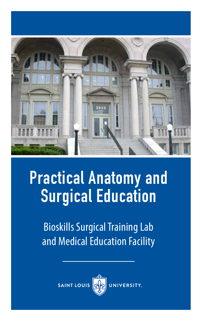

# **Practical Anatomy and Surgical Education**

Bioskills Surgical Training Lab and Medical Education Facility

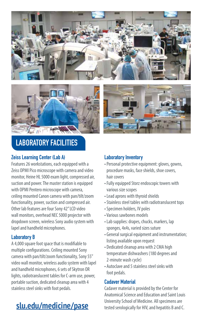





# **LABORATORY FACILITIES**

#### **Zeiss Learning Center (Lab A)**

Features 26 workstations, each equipped with a Zeiss OPMI Pico microscope with camera and video monitor, Heine HL 5000 exam light, compressed air, suction and power. The master station is equipped with OPMI Pentero microscope with camera, ceiling mounted Canon camera with pan/tilt/zoom functionality, power, suction and compressed air. Other lab features are four Sony 42" LCD video wall monitors, overhead NEC 5000 projector with dropdown screen, wireless Sony audio system with lapel and handheld microphones.

#### **Laboratory B**

A 4,000 square foot space that is modifiable to multiple configurations. Ceiling mounted Sony camera with pan/tilt/zoom functionality, Sony 55" video wall monitor, wireless audio system with lapel and handheld microphones, 6 sets of Skytron OR lights, radiotranslucent tables for C-arm use, power, portable suction, dedicated cleanup area with 4 stainless steel sinks with foot pedals.

#### **Laboratory Inventory**

- Personal protective equipment: gloves, gowns, procedure masks, face shields, shoe covers, hair covers
- Fully equipped Storz endoscopic towers with various size scopes
- Lead aprons with thyroid shields
- Stainless steel tables with radiotranslucent tops
- Specimen holders, IV poles
- Various sawbones models
- Lab supplies: drapes, chucks, markers, lap sponges, 4x4s, varied sizes suture
- General surgical equipment and instrumentation; listing available upon request
- Dedicated cleanup area with 2 CMA high temperature dishwashers (180 degrees and 2-minute wash cycle)
- Autoclave and 5 stainless steel sinks with foot pedals.

#### **Cadaver Material**

Cadaver material is provided by the Center for Anatomical Science and Education and Saint Louis University School of Medicine. All specimens are<br>**slu.edu/medicine/pase** tested serologically for HIV, and hepatitis B and C.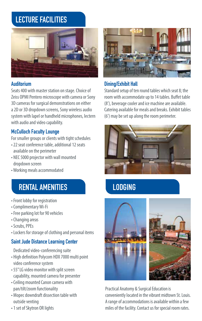# **LECTURE FACILITIES**



#### **Auditorium**

Seats 400 with master station on stage. Choice of Zeiss OPMI Pentero microscope with camera or Sony 3D cameras for surgical demonstrations on either a 2D or 3D dropdown screens, Sony wireless audio system with lapel or handheld microphones, lectern with audio and video capability.

### **McCulloch Faculty Lounge**

For smaller groups or clients with tight schedules

- 22 seat conference table, additional 12 seats available on the perimeter
- NEC 5000 projector with wall mounted dropdown screen
- Working meals accommodated

# **RENTAL AMENITIES LODGING**

- Front lobby for registration
- Complimentary Wi-Fi
- Free parking lot for 90 vehicles
- Changing areas
- Scrubs, PPEs
- Lockers for storage of clothing and personal items

#### **Saint Jude Distance Learning Center**

Dedicated video-conferencing suite

- High definition Polycom HDX 7000 multi point video conference system
- 55" LG video monitor with split screen capability, mounted camera for presenter
- Ceiling mounted Canon camera with pan/tilt/zoom functionality
- Mopec downdraft dissection table with outside venting
- 1 set of Skytron OR lights



### **Dining/Exhibit Hall**

Standard setup of ten round tables which seat 8; the room with accommodate up to 14 tables. Buffet table (8'), beverage cooler and ice machine are available. Catering available for meals and breaks. Exhibit tables (6') may be set up along the room perimeter.





Practical Anatomy & Surgical Education is conveniently located in the vibrant midtown St. Louis. A range of accommodations is available within a few miles of the facility. Contact us for special room rates.